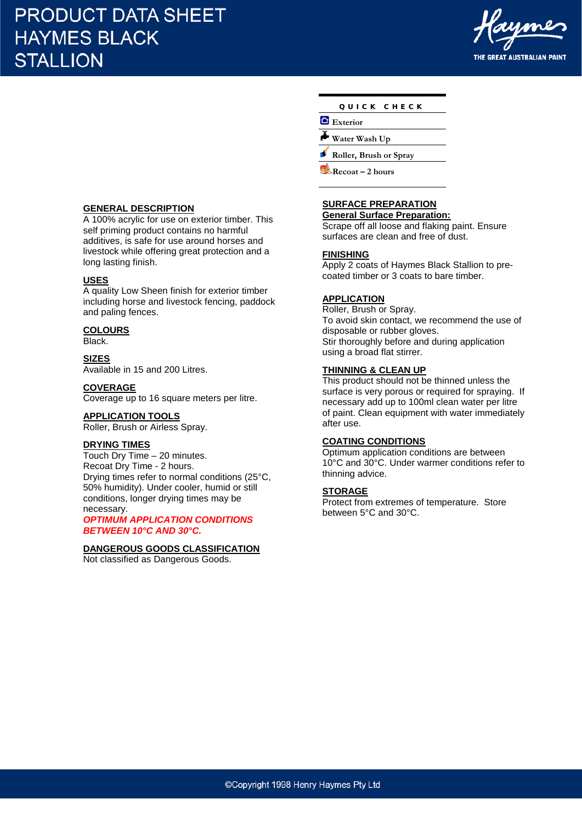# **PRODUCT DATA SHEET HAYMES BLACK STALLION**



**GENERAL DESCRIPTION** A 100% acrylic for use on exterior timber. This self priming product contains no harmful additives, is safe for use around horses and livestock while offering great protection and a long lasting finish.

#### **USES**

A quality Low Sheen finish for exterior timber including horse and livestock fencing, paddock and paling fences.

# **COLOURS**

Black.

**SIZES** Available in 15 and 200 Litres.

#### **COVERAGE**

Coverage up to 16 square meters per litre.

#### **APPLICATION TOOLS**

Roller, Brush or Airless Spray.

#### **DRYING TIMES**

Touch Dry Time – 20 minutes. Recoat Dry Time - 2 hours. Drying times refer to normal conditions (25°C, 50% humidity). Under cooler, humid or still conditions, longer drying times may be necessary.

*OPTIMUM APPLICATION CONDITIONS BETWEEN 10°C AND 30°C.* 

#### **DANGEROUS GOODS CLASSIFICATION**

Not classified as Dangerous Goods.

| QUICK CHECK |  |
|-------------|--|
|-------------|--|

**Exterior**

**Water Wash Up**

**Roller, Brush or Spray**

**Recoat – 2 hours**

# **SURFACE PREPARATION**

**General Surface Preparation:**

Scrape off all loose and flaking paint. Ensure surfaces are clean and free of dust.

#### **FINISHING**

Apply 2 coats of Haymes Black Stallion to precoated timber or 3 coats to bare timber.

## **APPLICATION**

Roller, Brush or Spray. To avoid skin contact, we recommend the use of disposable or rubber gloves. Stir thoroughly before and during application using a broad flat stirrer.

### **THINNING & CLEAN UP**

This product should not be thinned unless the surface is very porous or required for spraying. If necessary add up to 100ml clean water per litre of paint. Clean equipment with water immediately after use.

### **COATING CONDITIONS**

Optimum application conditions are between 10°C and 30°C. Under warmer conditions refer to thinning advice.

### **STORAGE**

Protect from extremes of temperature. Store between 5°C and 30°C.